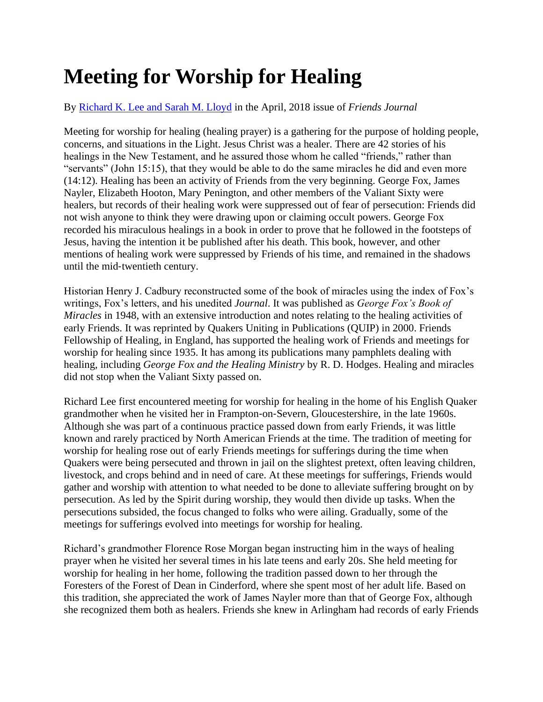## **Meeting for Worship for Healing**

## By [Richard K. Lee and Sarah M. Lloyd](https://www.friendsjournal.org/author/Richard%20K.%20Lee%20and%20Sarah%20M.%20Lloyd) in the April, 2018 issue of *Friends Journal*

Meeting for worship for healing (healing prayer) is a gathering for the purpose of holding people, concerns, and situations in the Light. Jesus Christ was a healer. There are 42 stories of his healings in the New Testament, and he assured those whom he called "friends," rather than "servants" (John 15:15), that they would be able to do the same miracles he did and even more (14:12). Healing has been an activity of Friends from the very beginning. George Fox, James Nayler, Elizabeth Hooton, Mary Penington, and other members of the Valiant Sixty were healers, but records of their healing work were suppressed out of fear of persecution: Friends did not wish anyone to think they were drawing upon or claiming occult powers. George Fox recorded his miraculous healings in a book in order to prove that he followed in the footsteps of Jesus, having the intention it be published after his death. This book, however, and other mentions of healing work were suppressed by Friends of his time, and remained in the shadows until the mid‐twentieth century.

Historian Henry J. Cadbury reconstructed some of the book of miracles using the index of Fox's writings, Fox's letters, and his unedited *Journal*. It was published as *George Fox's Book of Miracles* in 1948, with an extensive introduction and notes relating to the healing activities of early Friends. It was reprinted by Quakers Uniting in Publications (QUIP) in 2000. Friends Fellowship of Healing, in England, has supported the healing work of Friends and meetings for worship for healing since 1935. It has among its publications many pamphlets dealing with healing, including *George Fox and the Healing Ministry* by R. D. Hodges. Healing and miracles did not stop when the Valiant Sixty passed on.

Richard Lee first encountered meeting for worship for healing in the home of his English Quaker grandmother when he visited her in Frampton‐on‐Severn, Gloucestershire, in the late 1960s. Although she was part of a continuous practice passed down from early Friends, it was little known and rarely practiced by North American Friends at the time. The tradition of meeting for worship for healing rose out of early Friends meetings for sufferings during the time when Quakers were being persecuted and thrown in jail on the slightest pretext, often leaving children, livestock, and crops behind and in need of care. At these meetings for sufferings, Friends would gather and worship with attention to what needed to be done to alleviate suffering brought on by persecution. As led by the Spirit during worship, they would then divide up tasks. When the persecutions subsided, the focus changed to folks who were ailing. Gradually, some of the meetings for sufferings evolved into meetings for worship for healing.

Richard's grandmother Florence Rose Morgan began instructing him in the ways of healing prayer when he visited her several times in his late teens and early 20s. She held meeting for worship for healing in her home, following the tradition passed down to her through the Foresters of the Forest of Dean in Cinderford, where she spent most of her adult life. Based on this tradition, she appreciated the work of James Nayler more than that of George Fox, although she recognized them both as healers. Friends she knew in Arlingham had records of early Friends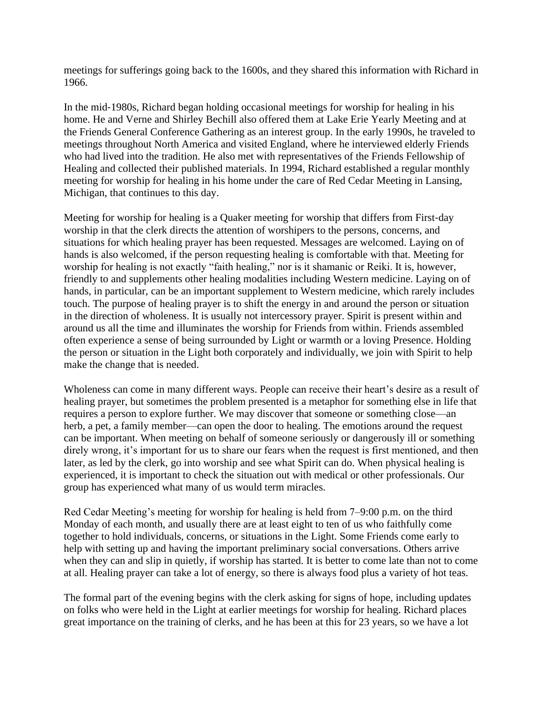meetings for sufferings going back to the 1600s, and they shared this information with Richard in 1966.

In the mid‐1980s, Richard began holding occasional meetings for worship for healing in his home. He and Verne and Shirley Bechill also offered them at Lake Erie Yearly Meeting and at the Friends General Conference Gathering as an interest group. In the early 1990s, he traveled to meetings throughout North America and visited England, where he interviewed elderly Friends who had lived into the tradition. He also met with representatives of the Friends Fellowship of Healing and collected their published materials. In 1994, Richard established a regular monthly meeting for worship for healing in his home under the care of Red Cedar Meeting in Lansing, Michigan, that continues to this day.

Meeting for worship for healing is a Quaker meeting for worship that differs from First-day worship in that the clerk directs the attention of worshipers to the persons, concerns, and situations for which healing prayer has been requested. Messages are welcomed. Laying on of hands is also welcomed, if the person requesting healing is comfortable with that. Meeting for worship for healing is not exactly "faith healing," nor is it shamanic or Reiki. It is, however, friendly to and supplements other healing modalities including Western medicine. Laying on of hands, in particular, can be an important supplement to Western medicine, which rarely includes touch. The purpose of healing prayer is to shift the energy in and around the person or situation in the direction of wholeness. It is usually not intercessory prayer. Spirit is present within and around us all the time and illuminates the worship for Friends from within. Friends assembled often experience a sense of being surrounded by Light or warmth or a loving Presence. Holding the person or situation in the Light both corporately and individually, we join with Spirit to help make the change that is needed.

Wholeness can come in many different ways. People can receive their heart's desire as a result of healing prayer, but sometimes the problem presented is a metaphor for something else in life that requires a person to explore further. We may discover that someone or something close—an herb, a pet, a family member—can open the door to healing. The emotions around the request can be important. When meeting on behalf of someone seriously or dangerously ill or something direly wrong, it's important for us to share our fears when the request is first mentioned, and then later, as led by the clerk, go into worship and see what Spirit can do. When physical healing is experienced, it is important to check the situation out with medical or other professionals. Our group has experienced what many of us would term miracles.

Red Cedar Meeting's meeting for worship for healing is held from 7–9:00 p.m. on the third Monday of each month, and usually there are at least eight to ten of us who faithfully come together to hold individuals, concerns, or situations in the Light. Some Friends come early to help with setting up and having the important preliminary social conversations. Others arrive when they can and slip in quietly, if worship has started. It is better to come late than not to come at all. Healing prayer can take a lot of energy, so there is always food plus a variety of hot teas.

The formal part of the evening begins with the clerk asking for signs of hope, including updates on folks who were held in the Light at earlier meetings for worship for healing. Richard places great importance on the training of clerks, and he has been at this for 23 years, so we have a lot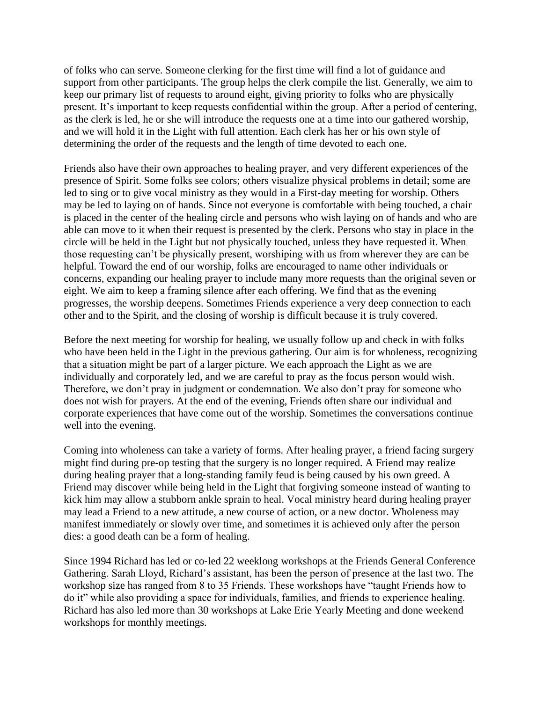of folks who can serve. Someone clerking for the first time will find a lot of guidance and support from other participants. The group helps the clerk compile the list. Generally, we aim to keep our primary list of requests to around eight, giving priority to folks who are physically present. It's important to keep requests confidential within the group. After a period of centering, as the clerk is led, he or she will introduce the requests one at a time into our gathered worship, and we will hold it in the Light with full attention. Each clerk has her or his own style of determining the order of the requests and the length of time devoted to each one.

Friends also have their own approaches to healing prayer, and very different experiences of the presence of Spirit. Some folks see colors; others visualize physical problems in detail; some are led to sing or to give vocal ministry as they would in a First-day meeting for worship. Others may be led to laying on of hands. Since not everyone is comfortable with being touched, a chair is placed in the center of the healing circle and persons who wish laying on of hands and who are able can move to it when their request is presented by the clerk. Persons who stay in place in the circle will be held in the Light but not physically touched, unless they have requested it. When those requesting can't be physically present, worshiping with us from wherever they are can be helpful. Toward the end of our worship, folks are encouraged to name other individuals or concerns, expanding our healing prayer to include many more requests than the original seven or eight. We aim to keep a framing silence after each offering. We find that as the evening progresses, the worship deepens. Sometimes Friends experience a very deep connection to each other and to the Spirit, and the closing of worship is difficult because it is truly covered.

Before the next meeting for worship for healing, we usually follow up and check in with folks who have been held in the Light in the previous gathering. Our aim is for wholeness, recognizing that a situation might be part of a larger picture. We each approach the Light as we are individually and corporately led, and we are careful to pray as the focus person would wish. Therefore, we don't pray in judgment or condemnation. We also don't pray for someone who does not wish for prayers. At the end of the evening, Friends often share our individual and corporate experiences that have come out of the worship. Sometimes the conversations continue well into the evening.

Coming into wholeness can take a variety of forms. After healing prayer, a friend facing surgery might find during pre‐op testing that the surgery is no longer required. A Friend may realize during healing prayer that a long-standing family feud is being caused by his own greed. A Friend may discover while being held in the Light that forgiving someone instead of wanting to kick him may allow a stubborn ankle sprain to heal. Vocal ministry heard during healing prayer may lead a Friend to a new attitude, a new course of action, or a new doctor. Wholeness may manifest immediately or slowly over time, and sometimes it is achieved only after the person dies: a good death can be a form of healing.

Since 1994 Richard has led or co-led 22 weeklong workshops at the Friends General Conference Gathering. Sarah Lloyd, Richard's assistant, has been the person of presence at the last two. The workshop size has ranged from 8 to 35 Friends. These workshops have "taught Friends how to do it" while also providing a space for individuals, families, and friends to experience healing. Richard has also led more than 30 workshops at Lake Erie Yearly Meeting and done weekend workshops for monthly meetings.